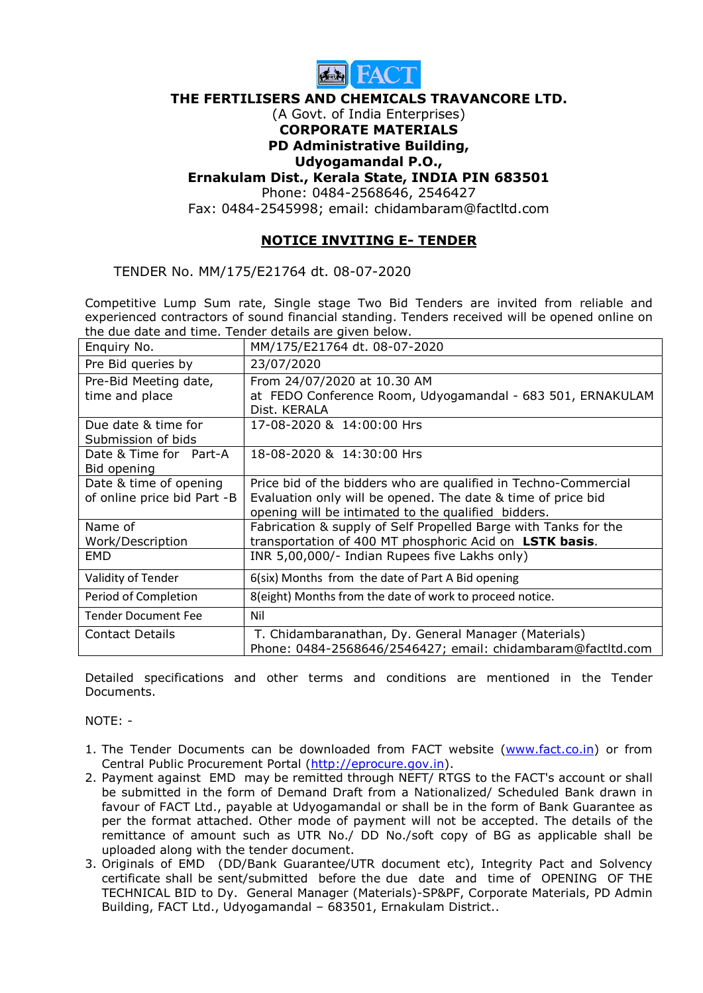

#### THE FERTILISERS AND CHEMICALS TRAVANCORE LTD.

#### (A Govt. of India Enterprises) CORPORATE MATERIALS

# PD Administrative Building,

## Udyogamandal P.O.,

## Ernakulam Dist., Kerala State, INDIA PIN 683501

Phone: 0484-2568646, 2546427

Fax: 0484-2545998; email: chidambaram@factltd.com

## NOTICE INVITING E- TENDER

TENDER No. MM/175/E21764 dt. 08-07-2020

Competitive Lump Sum rate, Single stage Two Bid Tenders are invited from reliable and experienced contractors of sound financial standing. Tenders received will be opened online on the due date and time. Tender details are given below.

| Enquiry No.                               | MM/175/E21764 dt. 08-07-2020                                               |
|-------------------------------------------|----------------------------------------------------------------------------|
| Pre Bid queries by                        | 23/07/2020                                                                 |
| Pre-Bid Meeting date,                     | From 24/07/2020 at 10.30 AM                                                |
| time and place                            | at FEDO Conference Room, Udyogamandal - 683 501, ERNAKULAM<br>Dist. KERALA |
| Due date & time for<br>Submission of bids | 17-08-2020 & 14:00:00 Hrs                                                  |
| Date & Time for Part-A                    | 18-08-2020 & 14:30:00 Hrs                                                  |
| Bid opening                               |                                                                            |
| Date & time of opening                    | Price bid of the bidders who are qualified in Techno-Commercial            |
| of online price bid Part -B               | Evaluation only will be opened. The date & time of price bid               |
|                                           | opening will be intimated to the qualified bidders.                        |
| Name of                                   | Fabrication & supply of Self Propelled Barge with Tanks for the            |
| Work/Description                          | transportation of 400 MT phosphoric Acid on LSTK basis.                    |
| <b>EMD</b>                                | INR 5,00,000/- Indian Rupees five Lakhs only)                              |
| Validity of Tender                        | 6(six) Months from the date of Part A Bid opening                          |
| Period of Completion                      | 8(eight) Months from the date of work to proceed notice.                   |
| <b>Tender Document Fee</b>                | Nil                                                                        |
| <b>Contact Details</b>                    | T. Chidambaranathan, Dy. General Manager (Materials)                       |
|                                           | Phone: 0484-2568646/2546427; email: chidambaram@factltd.com                |

Detailed specifications and other terms and conditions are mentioned in the Tender Documents.

NOTE: -

- 1. The Tender Documents can be downloaded from FACT website (www.fact.co.in) or from Central Public Procurement Portal (http://eprocure.gov.in).
- 2. Payment against EMD may be remitted through NEFT/ RTGS to the FACT's account or shall be submitted in the form of Demand Draft from a Nationalized/ Scheduled Bank drawn in favour of FACT Ltd., payable at Udyogamandal or shall be in the form of Bank Guarantee as per the format attached. Other mode of payment will not be accepted. The details of the remittance of amount such as UTR No./ DD No./soft copy of BG as applicable shall be uploaded along with the tender document.
- 3. Originals of EMD (DD/Bank Guarantee/UTR document etc), Integrity Pact and Solvency certificate shall be sent/submitted before the due date and time of OPENING OF THE TECHNICAL BID to Dy. General Manager (Materials)-SP&PF, Corporate Materials, PD Admin Building, FACT Ltd., Udyogamandal – 683501, Ernakulam District..